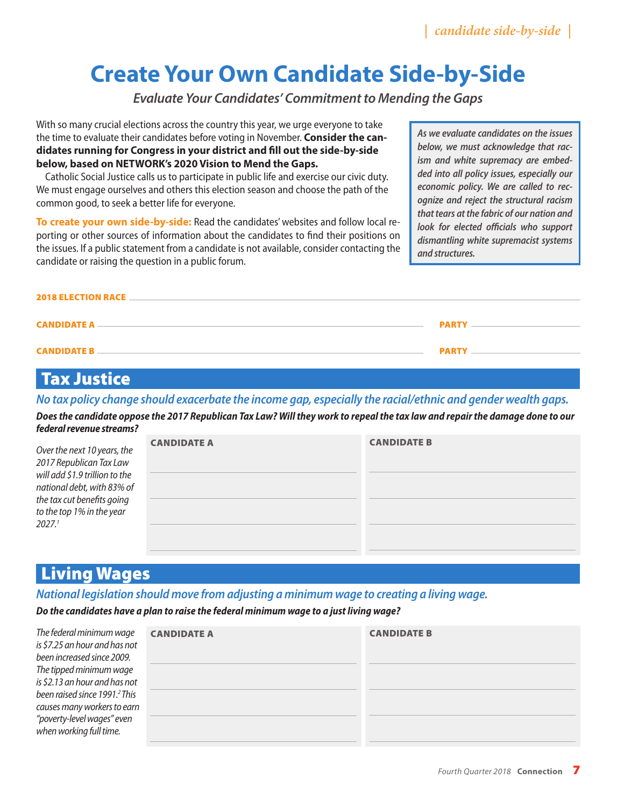*| candidate side-by-side |*

# **Create Your Own Candidate Side-by-Side**

*Evaluate Your Candidates' Commitment to Mending the Gaps*

With so many crucial elections across the country this year, we urge everyone to take the time to evaluate their candidates before voting in November. **Consider the candidates running for Congress in your district and fill out the side-by-side below, based on NETWORK's 2020 Vision to Mend the Gaps.**

Catholic Social Justice calls us to participate in public life and exercise our civic duty. We must engage ourselves and others this election season and choose the path of the common good, to seek a better life for everyone.

**To create your own side-by-side:** Read the candidates' websites and follow local reporting or other sources of information about the candidates to find their positions on the issues. If a public statement from a candidate is not available, consider contacting the candidate or raising the question in a public forum.

*As we evaluate candidates on the issues below, we must acknowledge that racism and white supremacy are embedded into all policy issues, especially our economic policy. We are called to recognize and reject the structural racism that tears at the fabric of our nation and look for elected officials who support dismantling white supremacist systems and structures.* 

| <b>2018 ELECTION RACE __</b> |              |
|------------------------------|--------------|
| <b>CANDIDATE A –</b>         | <b>PARTY</b> |
| <b>CANDIDATE B _</b>         | <b>PARTY</b> |

### Tax Justice

*No tax policy change should exacerbate the income gap, especially the racial/ethnic and gender wealth gaps.*

*Does the candidate oppose the 2017 Republican Tax Law? Will they work to repeal the tax law and repair the damage done to our federal revenue streams?*

| Over the next 10 years, the<br>2017 Republican Tax Law<br>will add \$1.9 trillion to the<br>national debt, with 83% of<br>the tax cut benefits going<br>to the top 1% in the year<br>2027.1 | <b>CANDIDATE A</b> | <b>CANDIDATE B</b> |
|---------------------------------------------------------------------------------------------------------------------------------------------------------------------------------------------|--------------------|--------------------|
|                                                                                                                                                                                             |                    |                    |

### Living Wages

#### *National legislation should move from adjusting a minimum wage to creating a living wage.*

*Do the candidates have a plan to raise the federal minimum wage to a just living wage?* 

| The federal minimum wage<br>is \$7.25 an hour and has not<br>been increased since 2009.<br>The tipped minimum wage<br>is \$2.13 an hour and has not<br>been raised since 1991. <sup>2</sup> This<br>causes many workers to earn<br>"poverty-level wages" even<br>when working full time. | <b>CANDIDATE A</b> | <b>CANDIDATE B</b> |
|------------------------------------------------------------------------------------------------------------------------------------------------------------------------------------------------------------------------------------------------------------------------------------------|--------------------|--------------------|
|                                                                                                                                                                                                                                                                                          |                    |                    |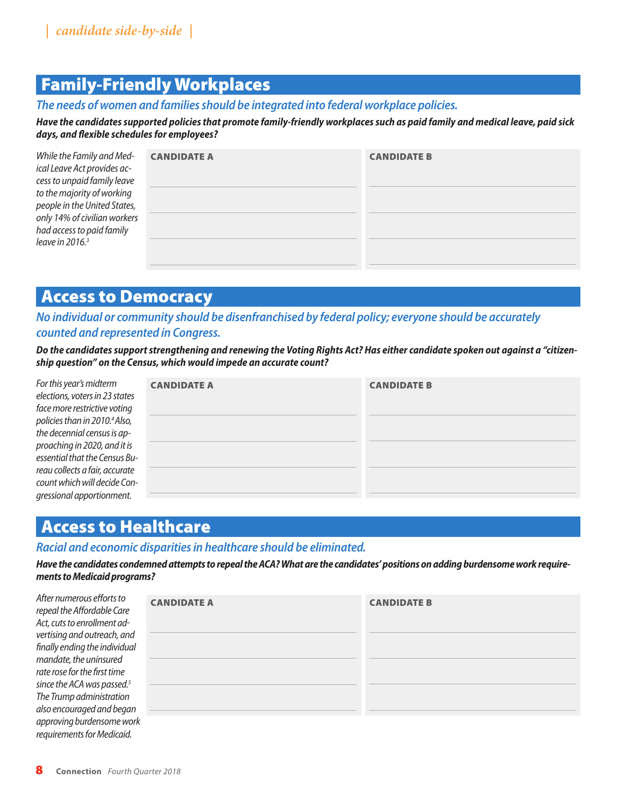# Family-Friendly Workplaces

*The needs of women and families should be integrated into federal workplace policies.*

*Have the candidates supported policies that promote family-friendly workplaces such as paid family and medical leave, paid sick days, and flexible schedules for employees?* 

| While the Family and Med-<br>ical Leave Act provides ac-<br>cess to unpaid family leave<br>to the majority of working<br>people in the United States,<br>only 14% of civilian workers<br>had access to paid family<br>leave in $20163$ | <b>CANDIDATE A</b> | <b>CANDIDATE B</b> |
|----------------------------------------------------------------------------------------------------------------------------------------------------------------------------------------------------------------------------------------|--------------------|--------------------|
|                                                                                                                                                                                                                                        |                    |                    |

### Access to Democracy

*No individual or community should be disenfranchised by federal policy; everyone should be accurately counted and represented in Congress.* 

*Do the candidates support strengthening and renewing the Voting Rights Act? Has either candidate spoken out against a "citizenship question" on the Census, which would impede an accurate count?* 

| For this year's midterm<br>elections, voters in 23 states | <b>CANDIDATE A</b> | <b>CANDIDATE B</b> |
|-----------------------------------------------------------|--------------------|--------------------|
| face more restrictive voting                              |                    |                    |
| policies than in 2010. <sup>4</sup> Also,                 |                    |                    |
| the decennial census is ap-                               |                    |                    |
| proaching in 2020, and it is                              |                    |                    |
| essential that the Census Bu-                             |                    |                    |
| reau collects a fair, accurate                            |                    |                    |
| count which will decide Con-                              |                    |                    |
| gressional apportionment.                                 |                    |                    |

# Access to Healthcare

#### *Racial and economic disparities in healthcare should be eliminated.*

*Have the candidates condemned attempts to repeal the ACA? What are the candidates' positions on adding burdensome work requirements to Medicaid programs?* 

| After numerous efforts to<br>repeal the Affordable Care | <b>CANDIDATE A</b> | <b>CANDIDATE B</b> |
|---------------------------------------------------------|--------------------|--------------------|
| Act, cuts to enrollment ad-                             |                    |                    |
| vertising and outreach, and                             |                    |                    |
| finally ending the individual                           |                    |                    |
| mandate, the uninsured                                  |                    |                    |
| rate rose for the first time                            |                    |                    |
| since the ACA was passed. <sup>5</sup>                  |                    |                    |
| The Trump administration                                |                    |                    |
| also encouraged and began                               |                    |                    |
| approving burdensome work                               |                    |                    |
| requirements for Medicaid.                              |                    |                    |